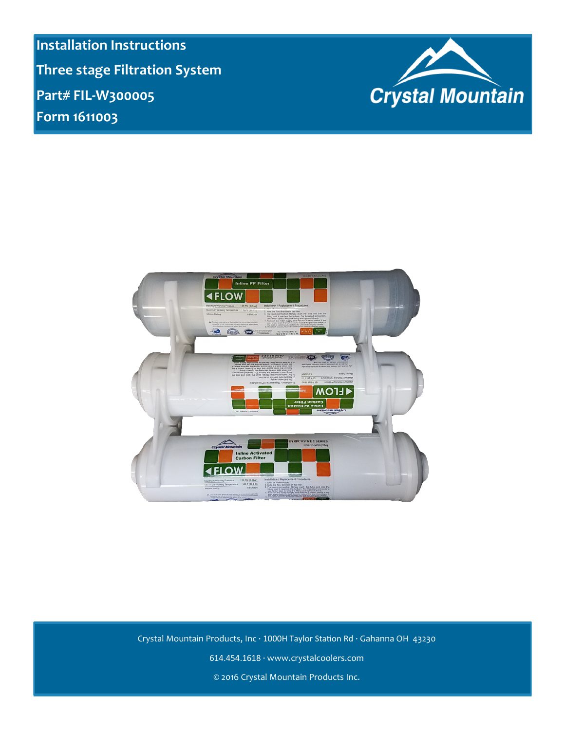**Installation Instructions Three stage Filtration System Part# FIL-W300005 Form 1611003**





Crystal Mountain Products, Inc · 1000H Taylor Station Rd · Gahanna OH 43230 614.454.1618 · www.crystalcoolers.com © 2016 Crystal Mountain Products Inc.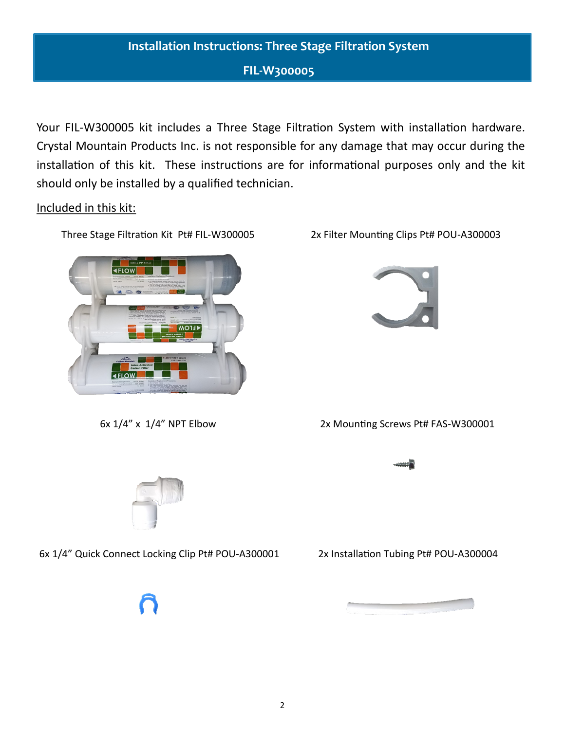## **FIL-W300005**

Your FIL-W300005 kit includes a Three Stage Filtration System with installation hardware. Crystal Mountain Products Inc. is not responsible for any damage that may occur during the installation of this kit. These instructions are for informational purposes only and the kit should only be installed by a qualified technician.

Included in this kit:

Three Stage Filtration Kit Pt# FIL-W300005



6x 1/4" x 1/4" NPT Elbow

2x Filter Mounting Clips Pt# POU-A300003



2x Mounting Screws Pt# FAS-W300001



6x 1/4" Quick Connect Locking Clip Pt# POU-A300001

2x Installation Tubing Pt# POU-A300004

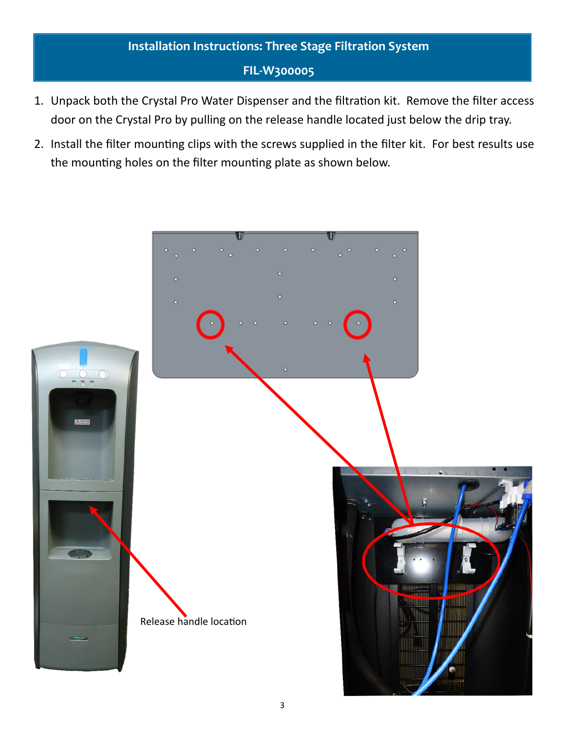## **FIL-W300005**

- 1. Unpack both the Crystal Pro Water Dispenser and the filtration kit. Remove the filter access door on the Crystal Pro by pulling on the release handle located just below the drip tray.
- 2. Install the filter mounting clips with the screws supplied in the filter kit. For best results use the mounting holes on the filter mounting plate as shown below.

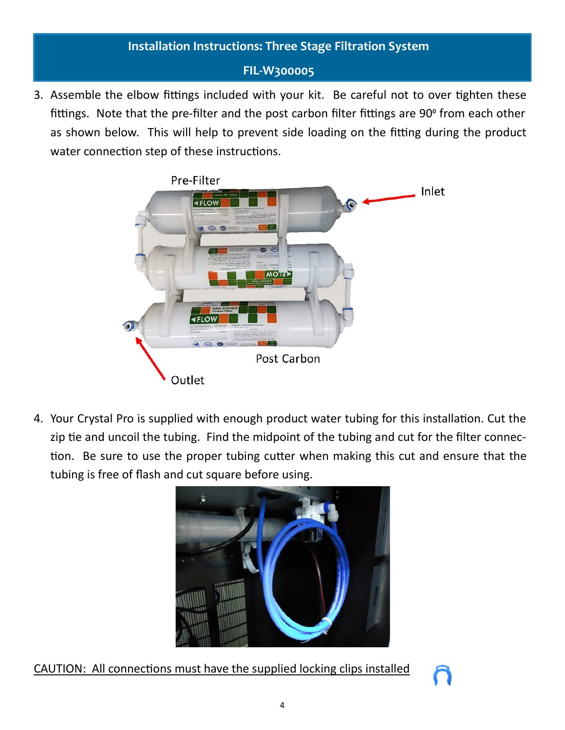## **FIL-W300005**

3. Assemble the elbow fittings included with your kit. Be careful not to over tighten these fittings. Note that the pre-filter and the post carbon filter fittings are 90° from each other as shown below. This will help to prevent side loading on the fitting during the product water connection step of these instructions.



4. Your Crystal Pro is supplied with enough product water tubing for this installation. Cut the zip tie and uncoil the tubing. Find the midpoint of the tubing and cut for the filter connection. Be sure to use the proper tubing cutter when making this cut and ensure that the tubing is free of flash and cut square before using.



CAUTION: All connections must have the supplied locking clips installed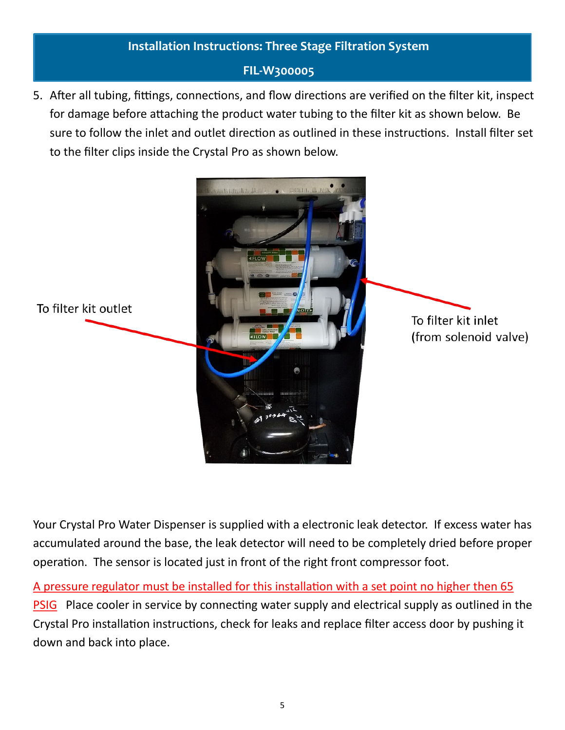## **FIL-W300005**

5. After all tubing, fittings, connections, and flow directions are verified on the filter kit, inspect for damage before attaching the product water tubing to the filter kit as shown below. Be sure to follow the inlet and outlet direction as outlined in these instructions. Install filter set to the filter clips inside the Crystal Pro as shown below.



Your Crystal Pro Water Dispenser is supplied with a electronic leak detector. If excess water has accumulated around the base, the leak detector will need to be completely dried before proper operation. The sensor is located just in front of the right front compressor foot.

A pressure regulator must be installed for this installation with a set point no higher then 65

PSIG Place cooler in service by connecting water supply and electrical supply as outlined in the Crystal Pro installation instructions, check for leaks and replace filter access door by pushing it down and back into place.